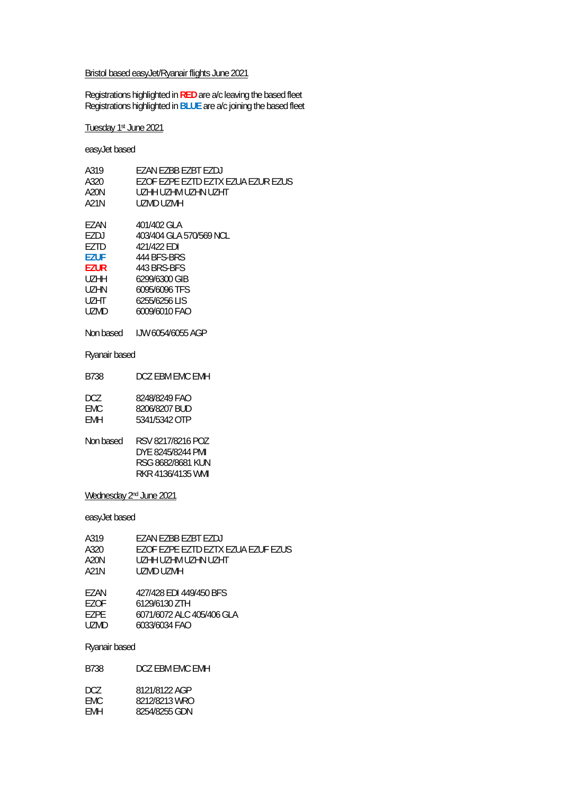### Bristol based easyJet/Ryanair flights June 2021

Registrations highlighted in **RED** are a/c leaving the based fleet Registrations highlighted in **BLUE** are a/c joining the based fleet

Tuesday 1st June 2021

easyJet based

| A319        | FZAN FZBB FZBT FZDJ                |
|-------------|------------------------------------|
| A320        | EZOF EZPE EZTD EZTX EZUA EZUR EZUS |
| A20N        | UZHH UZHM UZHN UZHT                |
| A21N        | UZMD UZMH                          |
|             |                                    |
| F7AN        | 401/402 GLA                        |
| EZDJ        | 403/404 GLA 570/569 NCL            |
| F7TD        | 421/422 EDI                        |
| <b>EZUF</b> | 444 BES-BRS                        |
| <b>EZUR</b> | 443 BRS-BES                        |
| UZHH        | 6299/6300 GIB                      |
| UZHN        | 6095/6096 TFS                      |
| <b>UZHT</b> | 6255/6256 LIS                      |
| UZMD        | 6009/6010 FAO                      |
|             |                                    |
|             |                                    |

Non based IJW 6054/6055 AGP

#### Ryanair based

| B738 | DCZ EBM EMC EMH |
|------|-----------------|
|      |                 |

| DCZ. | 8248/8249 FAO |
|------|---------------|
| FMC. | 8206/8207 BUD |
| FMH  | 5341/5342 OTP |
|      |               |

| Non based | RSV 8217/8216 POZ |
|-----------|-------------------|
|           | DYF 8245/8244 PMI |
|           | RSG 8682/8681 KUN |
|           | RKR 4136/4135 WMI |

#### Wednesday 2nd June 2021

easyJet based

| A319 | <b>FZAN FZBB FZBT FZDJ</b>         |
|------|------------------------------------|
| A320 | EZOF EZPE EZTD EZTX EZUA EZUF EZUS |
| A20N | UZHH UZHM UZHN UZHT                |
| A21N | UZMD UZMH                          |
|      |                                    |
| F7AN | 427/428 EDI 449/450 BFS            |
| F70F | 6129/6130 ZTH                      |
| F7PF | 6071/6072 ALC 405/406 GLA          |
| UZMD | 6033/6034 FAO                      |
|      |                                    |

### Ryanair based

| B738         | DCZ EBM EMC EMH                |
|--------------|--------------------------------|
| DCZ.<br>FMC. | 8121/8122 AGP<br>8212/8213 WRO |
| FMH.         | 8254/8255 GDN                  |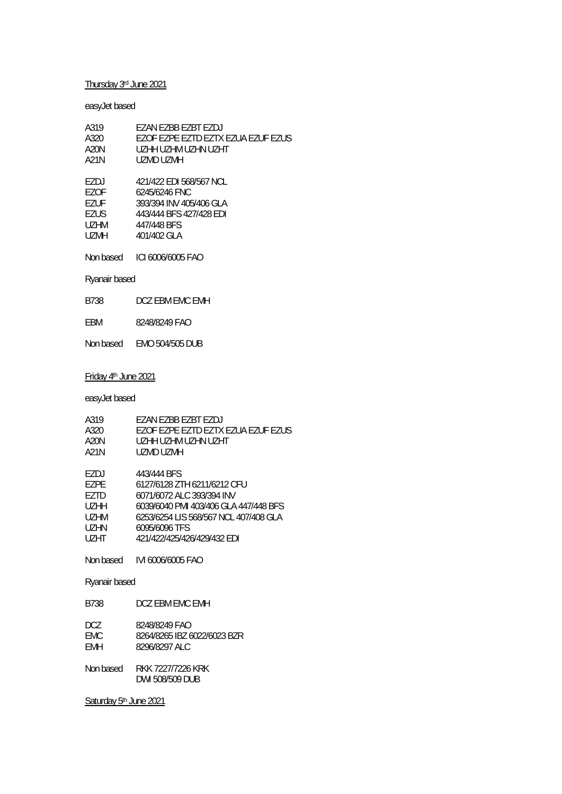# Thursday 3rd June 2021

# easyJet based

| FZAN FZBB FZBT FZDJ<br>F7OF F7PF F7TD F7TX F7UA F7UF F7US<br>UZHH UZHM UZHN UZHT<br>UZMD UZMH |
|-----------------------------------------------------------------------------------------------|
| 421/422 FDI 568/567 NCL                                                                       |
| 6245/6246 FNC                                                                                 |
| 393/394 INV 405/406 GLA                                                                       |
| 443/444 BFS 427/428 EDI                                                                       |
| 447/448 BFS                                                                                   |
| 401/402 GLA                                                                                   |
|                                                                                               |
| ICI 6006/6005 FAO                                                                             |
|                                                                                               |

# Ryanair based

EBM 8248/8249 FAO

Non based EMO 504/505 DUB

### Friday 4th June 2021

easyJet based

| A319<br>A320.<br>A20N<br>A21N                          | FZAN FZBB FZBT FZDJ<br>EZOF EZPE EZTD EZTX EZUA EZUF EZUS<br>UZHH UZHM UZHN UZHT<br>UZMD UZMH                                                                                                             |
|--------------------------------------------------------|-----------------------------------------------------------------------------------------------------------------------------------------------------------------------------------------------------------|
| F7DJ<br>EZPE<br>F7TD<br>UZHH<br>UZHM<br>UZHN.<br>UZHT. | 443/444 BFS<br>6127/6128 ZTH 6211/6212 CFU<br>6071/6072 ALC 393/394 INV<br>6039/6040 PMI 403/406 GLA 447/448 BFS<br>6253/6254 LIS 568/567 NCL 407/408 GLA<br>6095/6096 TFS<br>421/422/425/426/429/432 FDI |
|                                                        |                                                                                                                                                                                                           |
| Ryanair based                                          |                                                                                                                                                                                                           |
| B738                                                   | DCZ EBM EMC EMH                                                                                                                                                                                           |
| DCZ<br>FMC.<br><b>FMH</b>                              | 8248/8249 FAO<br>8264/8265 IBZ 6022/6023 BZR<br>8296/8297 ALC                                                                                                                                             |
| Non based                                              | RKK 7227/7226 KRK<br>DWI 508/509 DUB                                                                                                                                                                      |

Saturday 5<sup>th</sup> June 2021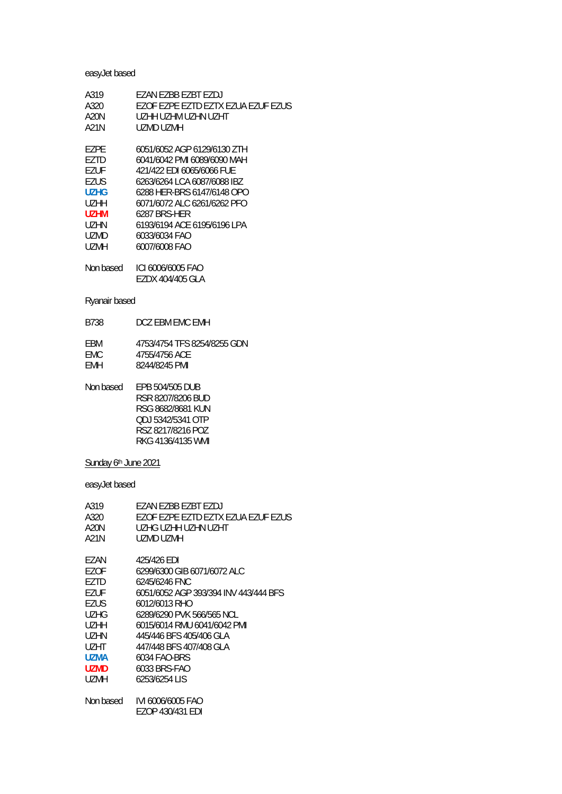# easyJet based

| A319        | EZAN EZBB EZBT EZDJ                |
|-------------|------------------------------------|
| A320        | EZOF EZPE EZTD EZTX EZUA EZUF EZUS |
| A20N        | UZHH UZHM UZHN UZHT                |
| A21N        | UZMD UZMH                          |
|             |                                    |
| F7PF        | 6051/6052 AGP 6129/6130 ZTH        |
| F7TD        | 6041/6042 PMI 6089/6090 MAH        |
| EZUF        | 421/422 EDI 6065/6066 FUE          |
| EZUS        | 6263/6264 LCA 6087/6088 IBZ        |
| U7HG        | 6288 HER-BRS 6147/6148 OPO         |
| UZHH        | 6071/6072 ALC 6261/6262 PFO        |
| <b>UZHM</b> | 6287 BRS-HFR                       |
| UZHN        | 6193/6194 ACE 6195/6196 LPA        |
| <b>UZMD</b> | 6033/6034 FAO                      |
| UZMH        | 6007/6008 FAO                      |
|             |                                    |
| Non based   | ICI 6006/6005 FAO                  |
|             | EZDX 404/405 GLA                   |

# Ryanair based

| B738       | DCZ FBM FMC FMH             |
|------------|-----------------------------|
| <b>FRM</b> | 4753/4754 TFS 8254/8255 GDN |
| FMC.       | 4755/4756 ACE               |

| EMH | 8244/8245 PMI |
|-----|---------------|
|     |               |

| Non based | EPB 504/505 DUB   |
|-----------|-------------------|
|           | RSR 8207/8206 BUD |
|           | RSG 8682/8681 KUN |
|           | ODJ 5342/5341 OTP |
|           | RSZ 8217/8216 POZ |
|           | RKG 4136/4135 WMI |
|           |                   |

# Sunday 6<sup>th</sup> June 2021

| A319        | F7AN EZBB EZBT EZDJ                   |
|-------------|---------------------------------------|
| A320        | F7OF F7PF F7TD F7TX F7UA F7UF F7US.   |
| A20N        | UZHG UZHH UZHN UZHT                   |
| A21N        | UZMD UZMH                             |
| EZAN        | 425/426 EDI                           |
| F70F        | 6299/6300 GIB 6071/6072 ALC           |
| F7TD        | 6245/6246 FNC                         |
| <b>EZUF</b> | 6051/6052 AGP 393/394 INV 443/444 BFS |
| <b>EZUS</b> | 6012/6013 RHO                         |
| <b>UZHG</b> | 6289/6290 PVK 566/565 NCL             |
| UZHH        | 6015/6014 RMU 6041/6042 PMI           |
| UZHN        | 445/446 BFS 405/406 GLA               |
| UZHT        | 447/448 BFS 407/408 GLA               |
| U7MA        | 6034 FAO-BRS                          |
| <b>UZMD</b> | 6033 BRS-FAO                          |
| UZMH        | 6253/6254 LIS                         |
| Non based   | IVI 6006/6005 FAO                     |
|             | EZOP 430/431 EDI                      |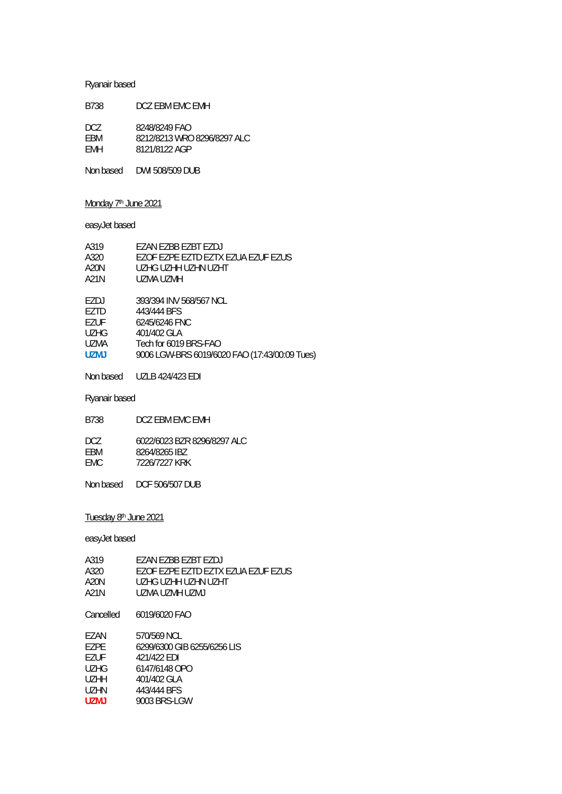# Ryanair based

| B738       | DCZ FBM FMC FMH             |
|------------|-----------------------------|
| DCZ.       | 8248/8249 FAO               |
| FRM        | 8212/8213 WRO 8296/8297 ALC |
| <b>FMH</b> | 8121/8122 AGP               |

Non based DWI 508/509 DUB

# Monday 7<sup>th</sup> June 2021

# easyJet based

| A319        | EZAN EZBB EZBT EZDJ                           |
|-------------|-----------------------------------------------|
| A320        | EZOF EZPE EZTD EZTX EZUA EZUF EZUS            |
| A20N        | UZHG UZHH UZHN UZHT                           |
| A21N        | UZMA UZMH                                     |
| EZDJ        | 393/394 INV 568/567 NCL                       |
|             |                                               |
| EZTD        | 443/444 BFS                                   |
| EZUF        | 6245/6246 FNC                                 |
| <b>UZHG</b> | 401/402 GLA                                   |
| UZMA        | Tech for 6019 BRS-FAO                         |
| <b>UZMJ</b> | 9006 LGW-BRS 6019/6020 FAO (17:43/00:09 Tues) |
|             |                                               |

Non based UZLB 424/423 EDI

Ryanair based

| B738                | DCZ FBM FMC FMH                                               |
|---------------------|---------------------------------------------------------------|
| DCZ.<br>FRM<br>FMC. | 6022/6023 BZR 8296/8297 ALC<br>8264/8265 IBZ<br>7226/7227 KRK |
|                     |                                                               |

Non based DCF 506/507 DUB

# Tuesday 8<sup>th</sup> June 2021

| A319              | F7AN F7BB F7BT F7DJ                |
|-------------------|------------------------------------|
| A320              | EZOF EZPE EZTD EZTX EZUA EZUF EZUS |
| A20N              | UZHG UZHH UZHN UZHT                |
| A21N              | UZMA UZMH UZMJ                     |
| Cancelled         | 6019/6020 FAO                      |
| F7AN              | 570/569 NCL                        |
| <b>FZPE</b>       | 6299/6300 GIB 6255/6256 LIS        |
| <b>FZUF</b>       | 421/422 FDI                        |
| UZHG              | 6147/6148 OPO                      |
| U <sub>7</sub> HH | 401/402 GLA                        |
| UZHN              | 443/444 BFS                        |
| <b>UZMJ</b>       | 9003 BRS-LGW                       |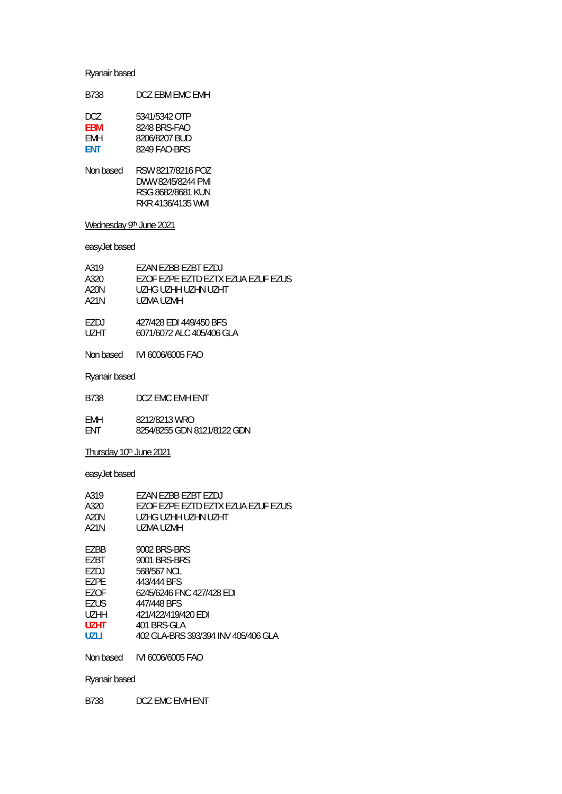# Ryanair based

| B738 | DCZ FBM FMC FMH |
|------|-----------------|
| DCZ. | 5341/5342 OTP   |

| <b>FBM</b> | 8248 BRS-FAO  |
|------------|---------------|
| FMH        | 8206/8207 BUD |
| <b>FNT</b> | 8249 FAO-BRS  |

Non based RSW 8217/8216 POZ DWW 8245/8244 PMI RSG 8682/8681 KUN RKR 4136/4135 WMI

# Wednesday 9th June 2021

### easyJet based

| A319 | <b>FZAN FZBB FZBT FZDJ</b>         |
|------|------------------------------------|
| A320 | EZOF EZPE EZTD EZTX EZUA EZUF EZUS |
| A20N | UZHG UZHH UZHN UZHT                |
| A21N | UZMA UZMH                          |
| F7DJ | 427/428 FDI 449/450 BFS            |
| UZHT | 6071/6072 ALC 405/406 GLA          |
|      |                                    |

### Ryanair based

| B738       | DCZ EMC EMH ENT             |
|------------|-----------------------------|
| <b>FMH</b> | 8212/8213 WRO               |
| FNT.       | 8254/8255 GDN 8121/8122 GDN |

### Thursday 10th June 2021

### easyJet based

| A319        | EZAN EZBB EZBT EZDJ                 |
|-------------|-------------------------------------|
| A320        | F7OF F7PF F7TD F7TX F7UA F7UF F7US  |
| A20N        | UZHG UZHH UZHN UZHT                 |
| A21N        | UZMA UZMH                           |
|             |                                     |
| F7BB        | 9002 BRS-BRS                        |
| F7RT        | 9001 BRS-BRS                        |
| F7DJ        | 568/567 NCL                         |
| F7PF        | 443/444 BFS                         |
| F70F        | 6245/6246 FNC 427/428 EDI           |
| <b>F7US</b> | 447/448 BFS                         |
| U7HH        | 421/422/419/420 FDI                 |
| U7HT        | 401 BRS-GLA                         |
| UZLI        | 402 GLA-BRS 393/394 INV 405/406 GLA |
|             |                                     |

Non based IVI 6006/6005 FAO

# Ryanair based

B738 DCZ EMC EMH ENT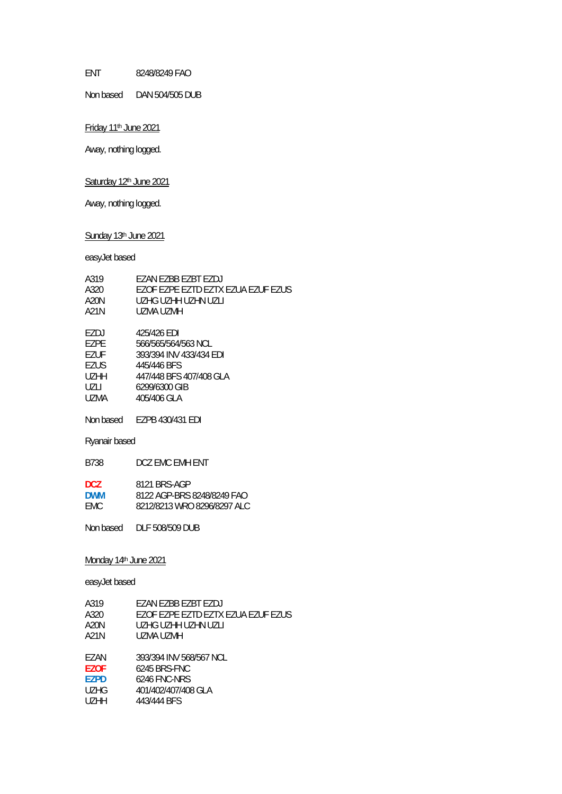ENT 8248/8249 FAO

Non based DAN 504/505 DUB

Friday 11<sup>th</sup> June 2021

Away, nothing logged.

# Saturday 12<sup>th</sup> June 2021

Away, nothing logged.

Sunday 13<sup>th</sup> June 2021

easyJet based

| A319<br>A320<br><b>A20N</b><br>A21N                         | EZAN EZBB EZBT EZDJ<br>EZOF EZPE EZTD EZTX EZUA EZUF EZUS<br>UZHG UZHH UZHN UZLI<br><b>UZMA UZMH</b>                                    |  |
|-------------------------------------------------------------|-----------------------------------------------------------------------------------------------------------------------------------------|--|
| EZDJ<br><b>EZPE</b><br>EZUF<br>EZUS<br>UZHH<br>UZLI<br>UZMA | 425/426 EDI<br>566/565/564/563 NCL<br>393/394 INV 433/434 EDI<br>445/446 BFS<br>447/448 BFS 407/408 GLA<br>6299/6300 GIB<br>405/406 GLA |  |
|                                                             | Non based EZPB 430/431 EDI                                                                                                              |  |
| Ryanair based                                               |                                                                                                                                         |  |
| B738                                                        | DCZ EMC EMH ENT                                                                                                                         |  |
| DCZ.<br><b>DWM</b><br><b>EMC</b>                            | 8121 BRS-AGP<br>8122 AGP-BRS 8248/8249 FAO<br>8212/8213 WRO 8296/8297 ALC                                                               |  |
|                                                             | Non based DLF 508/509 DUB                                                                                                               |  |
| Monday 14th June 2021<br>easyJet based                      |                                                                                                                                         |  |
| A319<br>A320<br><b>A20N</b><br>A21N                         | EZAN EZBB EZBT EZDJ<br>EZOF EZPE EZTD EZTX EZUA EZUF EZUS<br>UZHG UZHH UZHN UZLI<br><b>UZMA UZMH</b>                                    |  |
| E7AN.                                                       | 202/204 INN/ 568/567 NCL                                                                                                                |  |

EZAN 393/394 INV 568/567 NCL<br>**EZOF** 6245 BRS-FNC **EZOF** 6245 BRS-FNC **EZPD** 6246 FNC-NRS

| 401/402/407/408 GLA<br>UZHG |  |
|-----------------------------|--|
|-----------------------------|--|

UZHH 443/444 BFS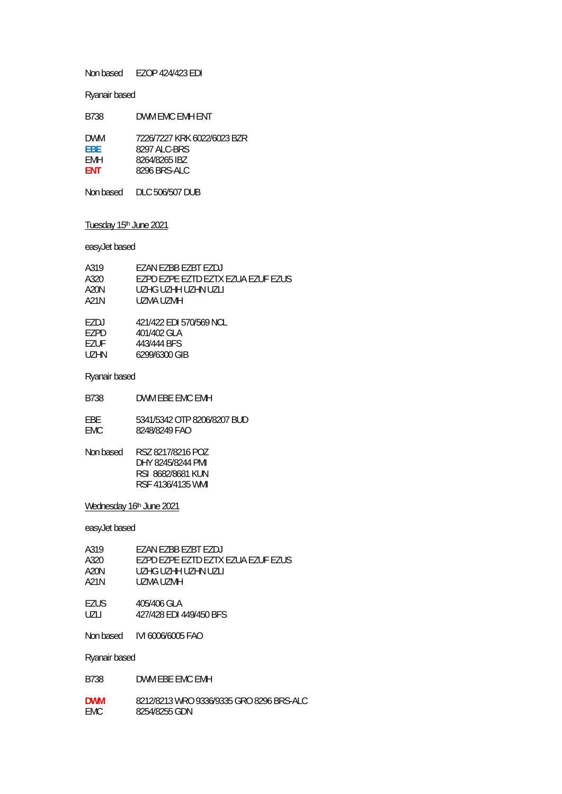Non based EZOP 424/423 EDI

#### Ryanair based

| B738       | DWM FMC FMH FNT             |
|------------|-----------------------------|
| <b>DWM</b> | 7226/7227 KRK 6022/6023 BZR |
| FBF.       | 8297 ALC-BRS                |
| <b>FMH</b> | 8264/8265 IBZ               |
| <b>FNT</b> | 8296 BRS-ALC                |

Non based DLC 506/507 DUB

# Tuesday 15<sup>th</sup> June 2021

### easyJet based

| A319 | <b>FZAN FZBB FZBT FZDJ</b>         |
|------|------------------------------------|
| A320 | EZPD EZPE EZTD EZTX EZUA EZUF EZUS |
| A20N | UZHG UZHH UZHN UZLI                |
| A21N | UZMA UZMH                          |
|      |                                    |
| EZDJ | 421/422 EDI 570/569 NCL            |
| F7PD | 401/402 GLA                        |
| EZUF | 443/444 BFS                        |
| UZHN | 6299/6300 GIB                      |
|      |                                    |

#### Ryanair based

B738 DWM EBE EMC EMH

EBE 5341/5342 OTP 8206/8207 BUD<br>EMC 8248/8249 FAO 8248/8249 FAO

| RSZ 8217/8216 POZ |
|-------------------|
| DHY 8245/8244 PMI |
| RSI 8682/8681 KUN |
| RSF 4136/4135 WMI |
|                   |

### Wednesday 16th June 2021

### easyJet based

| A319 | F7AN F7BB F7BT F7DJ                |
|------|------------------------------------|
| A320 | F7PD F7PF F7TD F7TX F7UA F7UF F7US |
| A20N | UZHG UZHH UZHN UZLI                |
| A21N | UZMA UZMH                          |
| EZUS | 405/406 GLA                        |
| UZLI | 427/428 EDI 449/450 BFS            |
|      |                                    |

Ryanair based

**DWM** 8212/8213 WRO 9336/9335 GRO 8296 BRS-ALC 8254/8255 GDN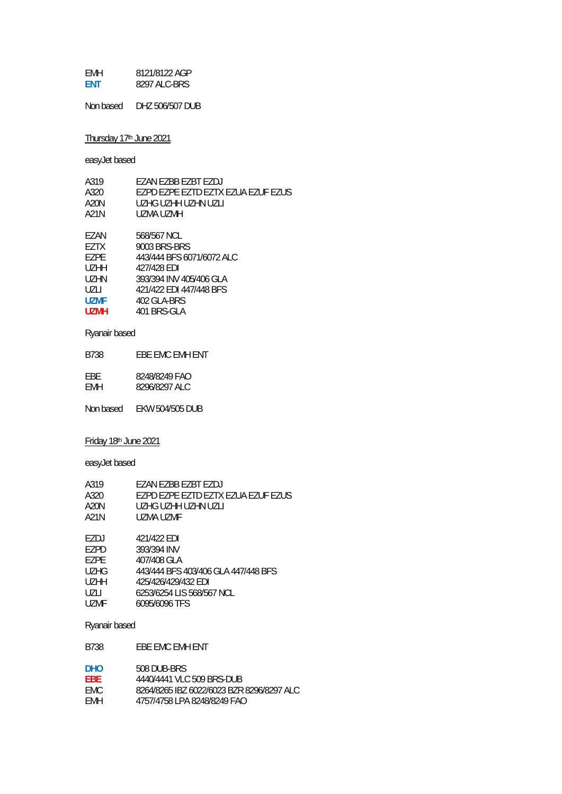| <b>FMH</b> | 8121/8122 AGP |
|------------|---------------|
| <b>FNT</b> | 8297 ALC-BRS  |

Non based DHZ 506/507 DUB

# Thursday 17th June 2021

easyJet based

| A319              | EZAN EZBB EZBT EZDJ                |
|-------------------|------------------------------------|
| A320              | EZPD EZPE EZTD EZTX EZUA EZUF EZUS |
| A20N              | UZHG UZHH UZHN UZLI                |
| A21N              | UZMA UZMH                          |
|                   |                                    |
| F7AN              | 568/567 NCL                        |
| F7TX              | 9003 BRS-BRS                       |
| F7PF              | 443/444 BFS 6071/6072 ALC          |
| U <sub>7</sub> HH | 427/428 FDI                        |
| UZHN              | 393/394 INV 405/406 GLA            |
| UZLI              | 421/422 EDI 447/448 BFS            |
| <b>UZMF</b>       | 402 GLA-BRS                        |
| <b>UZMH</b>       | 401 BRS-GLA                        |
|                   |                                    |

# Ryanair based

B738 EBE EMC EMH ENT EBE 8248/8249 FAO EMH 8296/8297 ALC

Non based EKW 504/505 DUB

### Friday 18th June 2021

easyJet based

| A319              | EZAN EZBB EZBT EZDJ                 |
|-------------------|-------------------------------------|
| A320              | EZPD EZPE EZTD EZTX EZUA EZUF EZUS  |
| A20N              | UZHG UZHH UZHN UZLI                 |
| A21N              | UZMA UZMF                           |
|                   |                                     |
| EZDJ              | 421/422 EDI                         |
| EZPD              | 393/394 INV                         |
| F7PF              | 407/408 GLA                         |
| <b>UZHG</b>       | 443/444 BFS 403/406 GLA 447/448 BFS |
| U <sub>7</sub> HH | 425/426/429/432 EDI                 |
| UZLI              | 6253/6254 LIS 568/567 NCL           |
| <b>UZMF</b>       | 6095/6096 TFS                       |

### Ryanair based

B738 EBE EMC EMH ENT

| DHO  | 508 DUB-BRS                               |
|------|-------------------------------------------|
| FBF. | 4440/4441 VLC 509 BRS-DUB                 |
| FMC. | 8264/8265 IBZ 6022/6023 BZR 8296/8297 ALC |
| FMH  | 4757/4758 LPA 8248/8249 FAO               |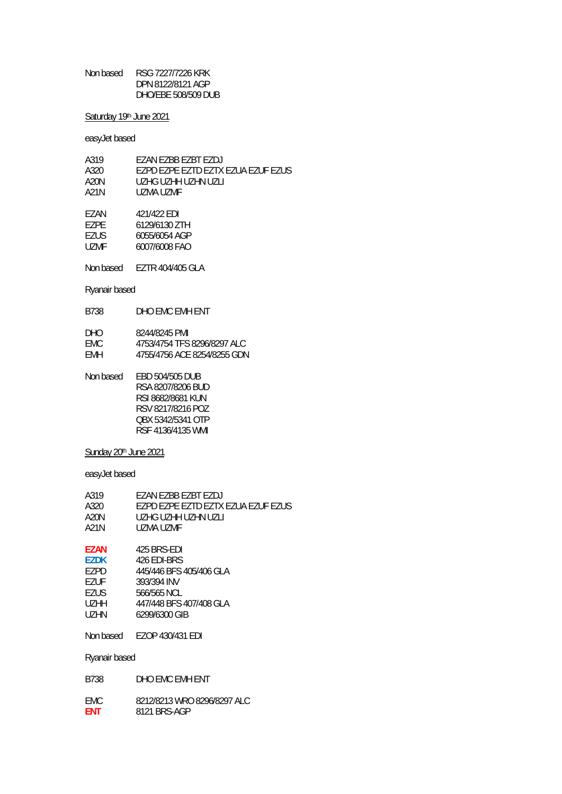Non based RSG 7227/7226 KRK DPN 8122/8121 AGP DHO/EBE 508/509 DUB

### Saturday 19th June 2021

easyJet based

| A319 | F7AN EZBB EZBT EZDJ                |
|------|------------------------------------|
| A320 | EZPD EZPE EZTD EZTX EZUA EZUF EZUS |
| A20N | UZHG UZHH UZHN UZLI                |
| A21N | UZMA UZME                          |
| F7AN | 421/422 EDI                        |
| F7PF | 6129/6130 ZTH                      |

EZUS 6055/6054 AGP UZMF 6007/6008 FAO

Non based EZTR 404/405 GLA

### Ryanair based

| DHO.       | 8244/8245 PMI               |
|------------|-----------------------------|
| FMC.       | 4753/4754 TFS 8296/8297 ALC |
| <b>FMH</b> | 4755/4756 ACE 8254/8255 GDN |

| Non based | EBD 504/505 DUB   |
|-----------|-------------------|
|           | RSA 8207/8206 BUD |
|           | RSI 8682/8681 KUN |
|           | RSV 8217/8216 POZ |
|           | OBX 5342/5341 OTP |
|           | RSF 4136/4135 WMI |

# Sunday 20<sup>th</sup> June 2021

| A319<br>A320<br>A20N<br>A21N | FZAN FZBB FZBT FZDJ<br>EZPD EZPE EZTD EZTX EZUA EZUF EZUS<br>UZHG UZHH UZHN UZLI<br>UZMA UZME |
|------------------------------|-----------------------------------------------------------------------------------------------|
| <b>EZAN</b>                  | 425 BRS-FDI                                                                                   |
| <b>EZDK</b>                  | 426 FDI-BRS                                                                                   |
| F7PD                         | 445/446 BFS 405/406 GLA                                                                       |
| F7UF                         | 393/394 INV                                                                                   |
| <b>EZUS</b>                  | 566/565 NCL                                                                                   |
| UZHH.                        | 447/448 BFS 407/408 GLA                                                                       |
| UZHN                         | 6299/6300 GIB                                                                                 |
| Non based                    | EZOP 430/431 EDI                                                                              |
| Ryanair based                |                                                                                               |
|                              |                                                                                               |

| B738       | DHO FMC FMH FNT             |
|------------|-----------------------------|
| FMC.       | 8212/8213 WRO 8296/8297 ALC |
| <b>FNT</b> | 8121 BRS-AGP                |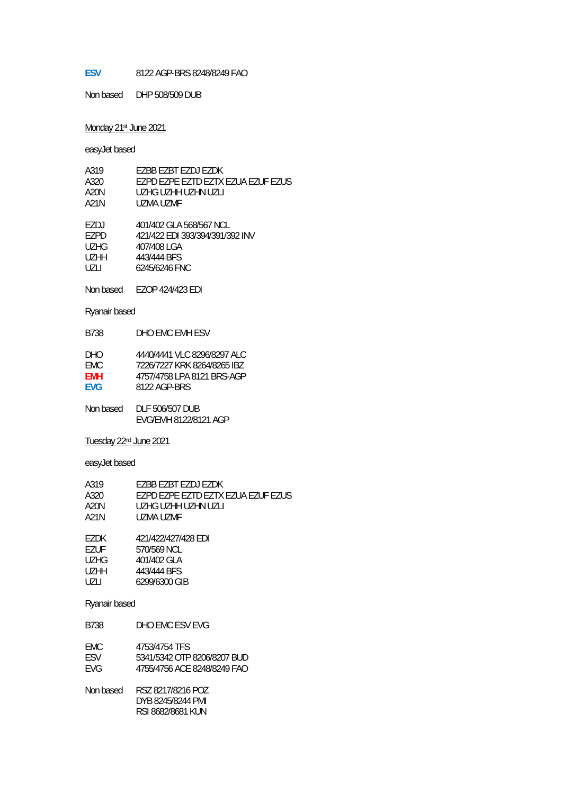#### **ESV** 8122 AGP-BRS 8248/8249 FAO

Non based DHP 508/509 DUB

#### Monday 21st June 2021

easyJet based

| A319              | F7BB F7BT F7DJ F7DK                |
|-------------------|------------------------------------|
| A320              | EZPD EZPE EZTD EZTX EZUA EZUF EZUS |
| A20N              | UZHG UZHH UZHN UZLI                |
| A21N              | UZMA UZMF                          |
| F7DJ              | 401/402 GLA 568/567 NCL            |
| F7PD              | 421/422 EDI 393/394/391/392 INV    |
| UZHG              | 407/408 LGA                        |
| U <sub>7</sub> HH | 443/444 BFS                        |
| U7LI              | 6245/6246 FNC                      |

Non based EZOP 424/423 EDI

Ryanair based

B738 DHO EMC EMH ESV

| DHO  | 4440/4441 VLC 8296/8297 ALC |
|------|-----------------------------|
| FMC. | 7226/7227 KRK 8264/8265 IBZ |
| FMH  | 4757/4758 LPA 8121 BRS-AGP  |
| FVG. | 8122 AGP-BRS                |

Non based DLF 506/507 DUB EVG/EMH 8122/8121 AGP

Tuesday 22nd June 2021

easyJet based

| A319  | EZBB EZBT EZDJ EZDK                |
|-------|------------------------------------|
| A320. | F7PD F7PF F7TD F7TX F7UA F7UF F7US |
| A20N  | UZHG UZHH UZHN UZLL                |
| A21N  | UZMA UZME                          |
|       |                                    |

EZDK 421/422/427/428 EDI<br>EZUF 570/569 NCL EZUF 570/569 NCL<br>UZHG 401/402 GLA UZHG 401/402 GLA<br>UZHH 443/444 BFS 443/444 BFS UZLI 6299/6300 GIB

#### Ryanair based

B738 DHO EMC ESV EVG

| EMC | 4753/4754 TFS               |
|-----|-----------------------------|
| FSV | 5341/5342 OTP 8206/8207 BUD |
| EVG | 4755/4756 ACE 8248/8249 FAO |

Non based RSZ 8217/8216 POZ DYB 8245/8244 PMI RSI 8682/8681 KUN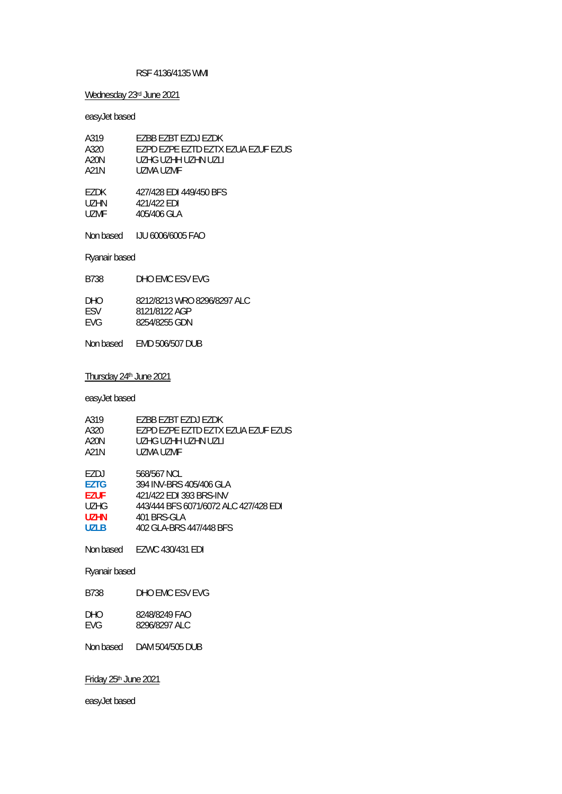#### RSF 4136/4135 WMI

### Wednesday 23rd June 2021

easyJet based

| A319 | F7BB F7BT F7DJ F7DK                |
|------|------------------------------------|
| A320 | EZPD EZPE EZTD EZTX EZUA EZUF EZUS |
| A20N | UZHG UZHH UZHN UZLL                |
| A21N | UZMA UZMF                          |
|      |                                    |
| F7DK | 427/428 EDI 449/450 BFS            |
| UZHN | 421/422 EDI                        |
| UZMF | 405/406 GLA                        |

Non based IJU 6006/6005 FAO

Ryanair based

| 8212/8213 WRO 8296/8297 ALC<br>DHO.<br>8121/8122 AGP | B738       |
|------------------------------------------------------|------------|
| <b>FVG</b><br>8254/8255 GDN                          | <b>FSV</b> |

Non based EMD 506/507 DUB

#### Thursday 24th June 2021

easyJet based

| A319        | F7BB F7BT F7DJ F7DK                   |
|-------------|---------------------------------------|
| A320        | F7PD F7PF F7TD F7TX F7UA F7UF F7US    |
| A20N        | UZHG UZHH UZHN UZLI                   |
| A21N        | UZMA UZME                             |
|             |                                       |
| F7DJ        | 568/567 NCL                           |
| <b>F7TG</b> | 394 INV-BRS 405/406 GLA               |
| <b>F7UF</b> | 421/422 FDI 393 BRS-INV               |
| <b>UZHG</b> | 443/444 BFS 6071/6072 ALC 427/428 FDI |
| U7HN        | 401 BRS-GLA                           |
| UZI B       | 402 GLA-BRS 447/448 BFS               |
| Non based   | F7WC 430/431 EDI                      |

Ryanair based

B738 DHO EMC ESV EVG

DHO 8248/8249 FAO<br>EVG 8296/8297 ALC 8296/8297 ALC

Non based DAM 504/505 DUB

Friday 25th June 2021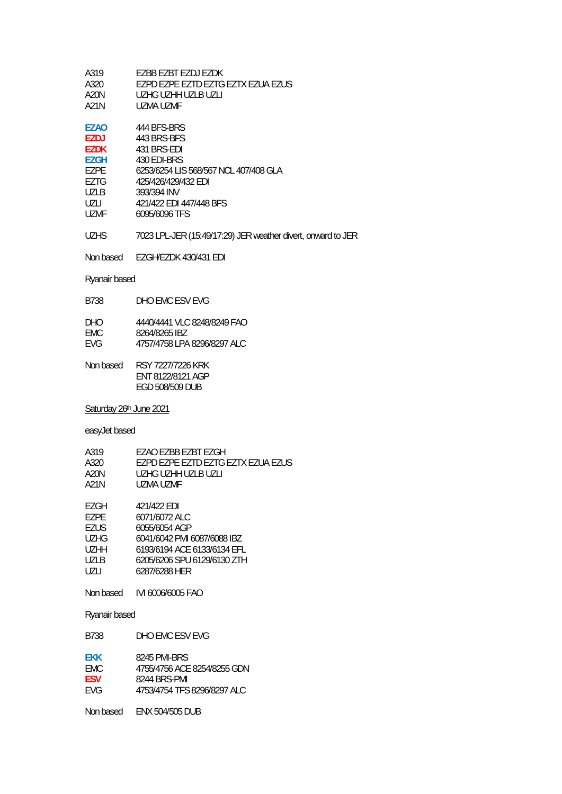| EZBB EZBT EZDJ EZDK                |
|------------------------------------|
| F7PD F7PF F7TD F7TG F7TX F7UA F7US |
| UZHG UZHH UZLB UZLI                |
| UZMA UZME                          |
|                                    |

| EZAO  | 444 BFS-BRS                           |
|-------|---------------------------------------|
| EZDJ  | 443 BRS-BFS                           |
| EZDK  | 431 BRS-EDI                           |
| EZGH  | 430 EDI-BRS                           |
| EZPE  | 6253/6254 LIS 568/567 NCL 407/408 GLA |
| EZTG  | 425/426/429/432 EDI                   |
| U71 B | 393/394 INV                           |
| UZLI  | 421/422 EDI 447/448 BFS               |
| UZMF  | 6095/6096 TFS                         |
|       |                                       |

UZHS 7023 LPL-JER (15:49/17:29) JER weather divert, onward to JER

Non based EZGH/EZDK 430/431 EDI

# Ryanair based

| B738                             | DHO FMC FSV FVG                                                              |
|----------------------------------|------------------------------------------------------------------------------|
| <b>DHO</b><br>FMC.<br><b>FVG</b> | 4440/4441 VI C 8248/8249 FAO<br>8264/8265 IBZ<br>4757/4758 LPA 8296/8297 ALC |
|                                  |                                                                              |

| Non based | RSY 7227/7226 KRK |
|-----------|-------------------|
|           | ENT 8122/8121 AGP |
|           | FGD 508/509 DUB   |

Saturday 26th June 2021

# easyJet based

| A319  | EZAO EZBB EZBT EZGH                |
|-------|------------------------------------|
| A320. | F7PD F7PF F7TD F7TG F7TX F7UA F7US |
| A20N  | UZHG UZHH UZI B UZI I              |
| A21N  | UZMA UZME                          |
|       |                                    |

| EZGH  | 421/422 EDI                 |
|-------|-----------------------------|
| F7PF. | 6071/6072 ALC               |
| EZUS. | 6055/6054 AGP               |
| UZHG  | 6041/6042 PMI 6087/6088 IBZ |
| UZHH  | 6193/6194 ACE 6133/6134 EFL |
| UZLB  | 6205/6206 SPU 6129/6130 ZTH |
| U7LI  | 6287/6288 HER               |
|       |                             |

Non based IVI 6006/6005 FAO

Ryanair based

| B738       | DHO FMC FSV FVG             |
|------------|-----------------------------|
| <b>FKK</b> | 8245 PMI-BRS                |
| FMC.       | 4755/4756 ACF 8254/8255 GDN |
| <b>FSV</b> | 8244 BRS-PMI                |
| FVG.       | 4753/4754 TFS 8296/8297 ALC |

Non based ENX 504/505 DUB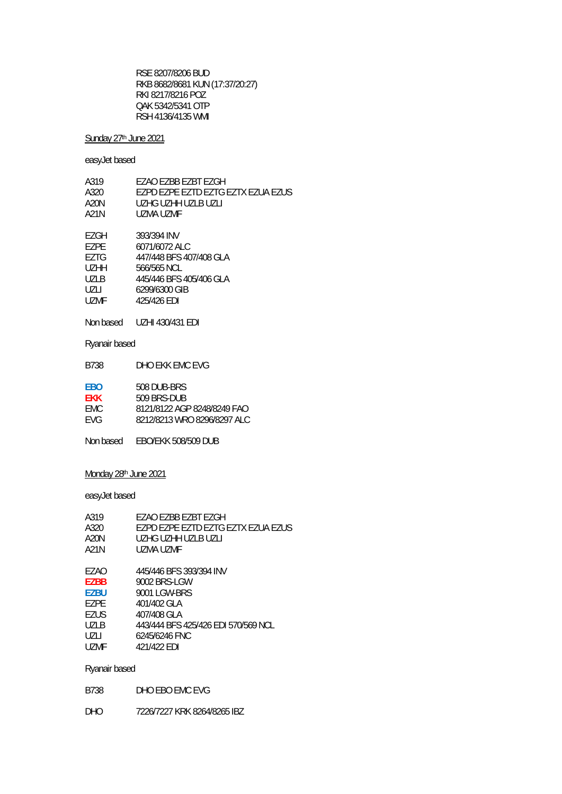RSE 8207/8206 BUD RKB 8682/8681 KUN (17:37/20:27) RKI 8217/8216 POZ QAK 5342/5341 OTP RSH 4136/4135 WMI

### Sunday 27<sup>th</sup> June 2021

### easyJet based

| A319              | EZAO EZBB EZBT EZGH                |
|-------------------|------------------------------------|
| A320              | EZPD EZPE EZTD EZTG EZTX EZUA EZUS |
| A20N              | UZHG UZHH UZLB UZLI                |
| A21N              | UZMA UZMF                          |
|                   |                                    |
| EZGH              | 393/394 INV                        |
| F7PF              | 6071/6072 ALC                      |
| EZTG              | 447/448 BFS 407/408 GLA            |
| U <sub>7</sub> HH | 566/565 NCL                        |
| <b>UZLB</b>       | 445/446 BFS 405/406 GLA            |
| UZLI              | 6299/6300 GIB                      |
| <b>UZMF</b>       | 425/426 EDI                        |

Non based UZHI 430/431 EDI

Ryanair based

| <b>B738</b> | DHO EKK EMC EVG |
|-------------|-----------------|
|             |                 |

| <b>FBO</b> | 508 DUB-BRS                 |
|------------|-----------------------------|
| <b>FKK</b> | 509 BRS-DUB                 |
| FMC.       | 8121/8122 AGP 8248/8249 FAO |
| <b>FVG</b> | 8212/8213 WRO 8296/8297 ALC |

Non based EBO/EKK 508/509 DUB

### Monday 28<sup>th</sup> June 2021

easyJet based

| A319        | EZAO EZBB EZBT EZGH                 |
|-------------|-------------------------------------|
| A320        | F7PD F7PF F7TD F7TG F7TX F7UA F7US  |
| A20N        | UZHG UZHH UZI B UZI I               |
| A21N        | UZMA UZMF                           |
|             |                                     |
| F7AO        | 445/446 BFS 393/394 INV             |
| <b>EZBB</b> | 9002 BRS-LGW                        |
| <b>F7BU</b> | 9001 LGW-BRS                        |
| F7PF        | 401/402 GLA                         |
| EZUS        | 407/408 GLA                         |
| <b>UZLB</b> | 443/444 BFS 425/426 EDI 570/569 NCL |
| UZLI        | 6245/6246 FNC                       |
| UZMF        | 421/422 EDI                         |
|             |                                     |

### Ryanair based

DHO 7226/7227 KRK 8264/8265 IBZ